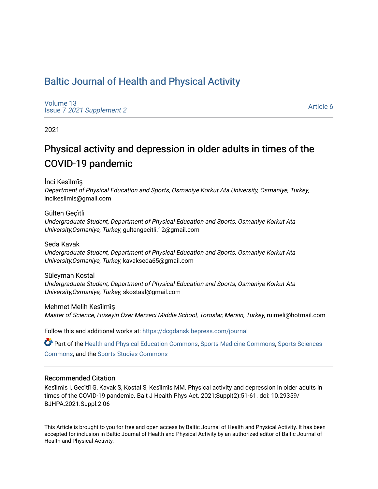## [Baltic Journal of Health and Physical Activity](https://dcgdansk.bepress.com/journal)

[Volume 13](https://dcgdansk.bepress.com/journal/vol13) Issue 7 [2021 Supplement 2](https://dcgdansk.bepress.com/journal/vol13/iss7) 

[Article 6](https://dcgdansk.bepress.com/journal/vol13/iss7/6) 

2021

# Physical activity and depression in older adults in times of the COVID-19 pandemic

İnci Kesi̇lmi̇ş

Department of Physical Education and Sports, Osmaniye Korkut Ata University, Osmaniye, Turkey, incikesilmis@gmail.com

Gülten Geçi̇tli̇

Undergraduate Student, Department of Physical Education and Sports, Osmaniye Korkut Ata University,Osmaniye, Turkey, gultengecitli.12@gmail.com

Seda Kavak Undergraduate Student, Department of Physical Education and Sports, Osmaniye Korkut Ata University,Osmaniye, Turkey, kavakseda65@gmail.com

Süleyman Kostal Undergraduate Student, Department of Physical Education and Sports, Osmaniye Korkut Ata University,Osmaniye, Turkey, skostaal@gmail.com

Mehmet Melih Kesi̇lmi̇ş Master of Science, Hüseyin Özer Merzeci Middle School, Toroslar, Mersin, Turkey, ruimeli@hotmail.com

Follow this and additional works at: [https://dcgdansk.bepress.com/journal](https://dcgdansk.bepress.com/journal?utm_source=dcgdansk.bepress.com%2Fjournal%2Fvol13%2Fiss7%2F6&utm_medium=PDF&utm_campaign=PDFCoverPages)

Part of the [Health and Physical Education Commons](http://network.bepress.com/hgg/discipline/1327?utm_source=dcgdansk.bepress.com%2Fjournal%2Fvol13%2Fiss7%2F6&utm_medium=PDF&utm_campaign=PDFCoverPages), [Sports Medicine Commons,](http://network.bepress.com/hgg/discipline/1331?utm_source=dcgdansk.bepress.com%2Fjournal%2Fvol13%2Fiss7%2F6&utm_medium=PDF&utm_campaign=PDFCoverPages) [Sports Sciences](http://network.bepress.com/hgg/discipline/759?utm_source=dcgdansk.bepress.com%2Fjournal%2Fvol13%2Fiss7%2F6&utm_medium=PDF&utm_campaign=PDFCoverPages) [Commons](http://network.bepress.com/hgg/discipline/759?utm_source=dcgdansk.bepress.com%2Fjournal%2Fvol13%2Fiss7%2F6&utm_medium=PDF&utm_campaign=PDFCoverPages), and the [Sports Studies Commons](http://network.bepress.com/hgg/discipline/1198?utm_source=dcgdansk.bepress.com%2Fjournal%2Fvol13%2Fiss7%2F6&utm_medium=PDF&utm_campaign=PDFCoverPages) 

#### Recommended Citation

Kesi̇lmi̇s I, Geci̇tli̇ G, Kavak S, Kostal S, Kesi̇lmi̇s MM. Physical activity and depression in older adults in times of the COVID-19 pandemic. Balt J Health Phys Act. 2021;Suppl(2):51-61. doi: 10.29359/ BJHPA.2021.Suppl.2.06

This Article is brought to you for free and open access by Baltic Journal of Health and Physical Activity. It has been accepted for inclusion in Baltic Journal of Health and Physical Activity by an authorized editor of Baltic Journal of Health and Physical Activity.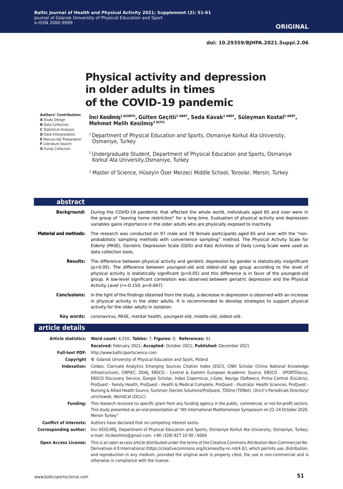**doi: 10.29359/BJHPA.2021.Suppl.2.06**

# **Physical activity and depression in older adults in times of the COVID-19 pandemic**

**Authors' Contribution: A** Study Design

- **B** Data Collection **C** Statistical Analysis
- **D** Data Interpretation
- **E** Manuscript Preparation
- **F** Literature Search
- **G** Funds Collection

**İnci Kesi̇lmi̇ş1 ACDEFG, Gülten Geçi̇tli̇2 ABEF, Seda Kavak2 ABEF, Süleyman Kostal2 ABEF, Mehmet Melih Kesi̇lmi̇ş3 ACFG**

- <sup>1</sup> Department of Physical Education and Sports, Osmaniye Korkut Ata University, Osmaniye, Turkey
- 2 Undergraduate Student, Department of Physical Education and Sports, Osmaniye Korkut Ata University,Osmaniye, Turkey
- <sup>3</sup> Master of Science, Hüseyin Özer Merzeci Middle School, Toroslar, Mersin, Turkey

| abstract                     |                                                                                                                                                                                                                                                                                                                                                                                                                                                                                      |
|------------------------------|--------------------------------------------------------------------------------------------------------------------------------------------------------------------------------------------------------------------------------------------------------------------------------------------------------------------------------------------------------------------------------------------------------------------------------------------------------------------------------------|
| <b>Background:</b>           | During the COVID-19 pandemic that affected the whole world, individuals aged 65 and over were in<br>the group of "leaving home restriction" for a long time. Evaluation of physical activity and depression<br>variables gains importance in the older adults who are physically exposed to inactivity.                                                                                                                                                                              |
| <b>Material and methods:</b> | The research was conducted on 97 male and 78 female participants aged 65 and over with the "non-<br>probabilistic sampling methods with convenience sampling" method. The Physical Activity Scale for<br>Elderly (PASE), Geriatric Depression Scale (GDS) and Katz Activities of Daily Living Scale were used as<br>data collection tools.                                                                                                                                           |
| <b>Results:</b>              | The difference between physical activity and geriatric depression by gender is statistically insignificant<br>$(p>0.05)$ . The difference between youngest-old and oldest-old age group according to the level of<br>physical activity is statistically significant ( $p<0.05$ ) and this difference is in favor of the youngest-old<br>group. A low-level significant correlation was observed between geriatric depression and the Physical<br>Activity Level (r=-0.150, p=0.047). |
| Conclusions:                 | In the light of the findings obtained from the study, a decrease in depression is observed with an increase<br>in physical activity in the older adults. It is recommended to develop strategies to support physical<br>activity for the older adults in isolation.                                                                                                                                                                                                                  |
|                              | Key words: coronavirus, PASE, mental health, youngest-old, middle-old, oldest-old.                                                                                                                                                                                                                                                                                                                                                                                                   |

#### **article details**

|                               | Article statistics: Word count: 4,250; Tables: 7; Figures: 0; References: 61                                                                                                                                                                                                                                                                                                                                                                                                                                                                                                                                       |
|-------------------------------|--------------------------------------------------------------------------------------------------------------------------------------------------------------------------------------------------------------------------------------------------------------------------------------------------------------------------------------------------------------------------------------------------------------------------------------------------------------------------------------------------------------------------------------------------------------------------------------------------------------------|
|                               | Received: February 2021; Accepted: October 2021; Published: December 2021                                                                                                                                                                                                                                                                                                                                                                                                                                                                                                                                          |
| <b>Full-text PDF:</b>         | http://www.balticsportscience.com                                                                                                                                                                                                                                                                                                                                                                                                                                                                                                                                                                                  |
| Copyright                     | © Gdansk University of Physical Education and Sport, Poland                                                                                                                                                                                                                                                                                                                                                                                                                                                                                                                                                        |
| Indexation:                   | Celdes, Clarivate Analytics Emerging Sources Citation Index (ESCI), CNKI Scholar (China National Knowledge<br>Infrastructure), CNPIEC, DOAJ, EBSCO - Central & Eastern European Academic Source, EBSCO - SPORTDiscus,<br>EBSCO Discovery Service, Google Scholar, Index Copernicus, J-Gate, Naviga (Softweco, Primo Central (ExLibris),<br>ProQuest - Family Health, ProQuest - Health & Medical Complete, ProQuest - Illustrata: Health Sciences, ProQuest -<br>Nursing & Allied Health Source, Summon (Serials Solutions/ProQuest, TDOne (TDNet), Ulrich's Periodicals Directory/<br>ulrichsweb, WorldCat (OCLC) |
| <b>Funding:</b>               | This research received no specific grant from any funding agency in the public, commercial, or not-for-profit sectors.<br>This study presented as an oral presentation at "4th International Mediterranean Symposium on 22-24 October 2020,<br>Mersin Turkey"                                                                                                                                                                                                                                                                                                                                                      |
| <b>Conflict of interests:</b> | Authors have declared that no competing interest exists.                                                                                                                                                                                                                                                                                                                                                                                                                                                                                                                                                           |
| Corresponding author:         | Inci KESILMIS, Department of Physical Education and Sports, Osmaniye Korkut Ata University, Osmaniye, Turkey;<br>e-mail: incikesilmis@gmail.com; +90 (328) 827 10 00 / 6004                                                                                                                                                                                                                                                                                                                                                                                                                                        |
| <b>Open Access License:</b>   | This is an open access article distributed under the terms of the Creative Commons Attribution-Non-Commercial-No-<br>Derivatives 4.0 International (https://creativecommons.org/licenses/by-nc-nd/4.0/), which permits use, distribution,<br>and reproduction in any medium, provided the original work is properly cited, the use is non-commercial and is<br>otherwise in compliance with the license.                                                                                                                                                                                                           |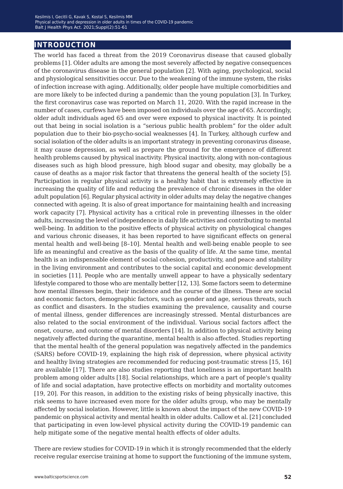## **introduction**

The world has faced a threat from the 2019 Coronavirus disease that caused globally problems [1]. Older adults are among the most severely affected by negative consequences of the coronavirus disease in the general population [2]. With aging, psychological, social and physiological sensitivities occur. Due to the weakening of the immune system, the risks of infection increase with aging. Additionally, older people have multiple comorbidities and are more likely to be infected during a pandemic than the young population [3]. In Turkey, the first coronavirus case was reported on March 11, 2020. With the rapid increase in the number of cases, curfews have been imposed on individuals over the age of 65. Accordingly, older adult individuals aged 65 and over were exposed to physical inactivity. It is pointed out that being in social isolation is a "serious public health problem" for the older adult population due to their bio-psycho-social weaknesses [4]. In Turkey, although curfew and social isolation of the older adults is an important strategy in preventing coronavirus disease, it may cause depression, as well as prepare the ground for the emergence of different health problems caused by physical inactivity. Physical inactivity, along with non-contagious diseases such as high blood pressure, high blood sugar and obesity, may globally be a cause of deaths as a major risk factor that threatens the general health of the society [5]. Participation in regular physical activity is a healthy habit that is extremely effective in increasing the quality of life and reducing the prevalence of chronic diseases in the older adult population [6]. Regular physical activity in older adults may delay the negative changes connected with ageing. It is also of great importance for maintaining health and increasing work capacity [7]. Physical activity has a critical role in preventing illnesses in the older adults, increasing the level of independence in daily life activities and contributing to mental well-being. In addition to the positive effects of physical activity on physiological changes and various chronic diseases, it has been reported to have significant effects on general mental health and well-being [8–10]. Mental health and well-being enable people to see life as meaningful and creative as the basis of the quality of life. At the same time, mental health is an indispensable element of social cohesion, productivity, and peace and stability in the living environment and contributes to the social capital and economic development in societies [11]. People who are mentally unwell appear to have a physically sedentary lifestyle compared to those who are mentally better [12, 13]. Some factors seem to determine how mental illnesses begin, their incidence and the course of the illness. These are social and economic factors, demographic factors, such as gender and age, serious threats, such as conflict and disasters. In the studies examining the prevalence, causality and course of mental illness, gender differences are increasingly stressed. Mental disturbances are also related to the social environment of the individual. Various social factors affect the onset, course, and outcome of mental disorders [14]. In addition to physical activity being negatively affected during the quarantine, mental health is also affected. Studies reporting that the mental health of the general population was negatively affected in the pandemics (SARS) before COVID-19, explaining the high risk of depression, where physical activity and healthy living strategies are recommended for reducing post-traumatic stress [15, 16] are available [17]. There are also studies reporting that loneliness is an important health problem among older adults [18]. Social relationships, which are a part of people's quality of life and social adaptation, have protective effects on morbidity and mortality outcomes [19, 20]. For this reason, in addition to the existing risks of being physically inactive, this risk seems to have increased even more for the older adults group, who may be mentally affected by social isolation. However, little is known about the impact of the new COVID-19 pandemic on physical activity and mental health in older adults. Callow et al. [21] concluded that participating in even low-level physical activity during the COVID-19 pandemic can help mitigate some of the negative mental health effects of older adults.

There are review studies for COVID-19 in which it is strongly recommended that the elderly receive regular exercise training at home to support the functioning of the immune system,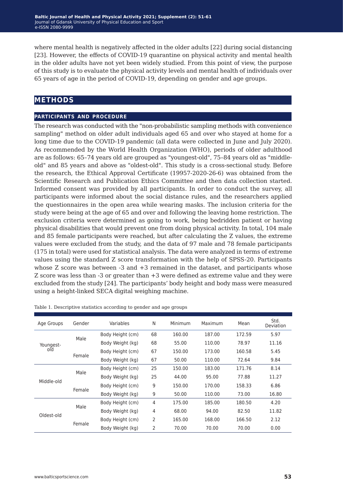where mental health is negatively affected in the older adults [22] during social distancing [23]. However, the effects of COVID-19 quarantine on physical activity and mental health in the older adults have not yet been widely studied. From this point of view, the purpose of this study is to evaluate the physical activity levels and mental health of individuals over 65 years of age in the period of COVID-19, depending on gender and age groups.

## **methods**

#### **participants and procedure**

The research was conducted with the "non-probabilistic sampling methods with convenience sampling" method on older adult individuals aged 65 and over who stayed at home for a long time due to the COVID-19 pandemic (all data were collected in June and July 2020). As recommended by the World Health Organization (WHO), periods of older adulthood are as follows: 65–74 years old are grouped as "youngest-old", 75–84 years old as "middleold" and 85 years and above as "oldest-old". This study is a cross-sectional study. Before the research, the Ethical Approval Certificate (19957-2020-26-6) was obtained from the Scientific Research and Publication Ethics Committee and then data collection started. Informed consent was provided by all participants. In order to conduct the survey, all participants were informed about the social distance rules, and the researchers applied the questionnaires in the open area while wearing masks. The inclusion criteria for the study were being at the age of 65 and over and following the leaving home restriction. The exclusion criteria were determined as going to work, being bedridden patient or having physical disabilities that would prevent one from doing physical activity. In total, 104 male and 85 female participants were reached, but after calculating the Z values, the extreme values were excluded from the study, and the data of 97 male and 78 female participants (175 in total) were used for statistical analysis. The data were analyzed in terms of extreme values using the standard Z score transformation with the help of SPSS-20. Participants whose Z score was between -3 and +3 remained in the dataset, and participants whose Z score was less than -3 or greater than +3 were defined as extreme value and they were excluded from the study [24]. The participants' body height and body mass were measured using a height-linked SECA digital weighing machine.

| Age Groups | Gender | Variables        | N              | Minimum | Maximum | Mean   | Std.<br>Deviation |
|------------|--------|------------------|----------------|---------|---------|--------|-------------------|
|            | Male   | Body Height (cm) | 68             | 160.00  | 187.00  | 172.59 | 5.97              |
| Youngest-  |        | Body Weight (kg) | 68             | 55.00   | 110.00  | 78.97  | 11.16             |
| old        |        | Body Height (cm) | 67             | 150.00  | 173.00  | 160.58 | 5.45              |
|            | Female | Body Weight (kg) | 67             | 50.00   | 110.00  | 72.64  | 9.84              |
|            | Male   | Body Height (cm) | 25             | 150.00  | 183.00  | 171.76 | 8.14              |
| Middle-old |        | Body Weight (kg) | 25             | 44.00   | 95.00   | 77.88  | 11.27             |
|            |        | Body Height (cm) | 9              | 150.00  | 170.00  | 158.33 | 6.86              |
|            | Female | Body Weight (kg) | 9              | 50.00   | 110.00  | 73.00  | 16.80             |
|            | Male   | Body Height (cm) | 4              | 175.00  | 185.00  | 180.50 | 4.20              |
| blo-teablO |        | Body Weight (kg) | 4              | 68.00   | 94.00   | 82.50  | 11.82             |
|            | Female | Body Height (cm) | $\overline{2}$ | 165.00  | 168.00  | 166.50 | 2.12              |
|            |        | Body Weight (kg) | 2              | 70.00   | 70.00   | 70.00  | 0.00              |

Table 1. Descriptive statistics according to gender and age groups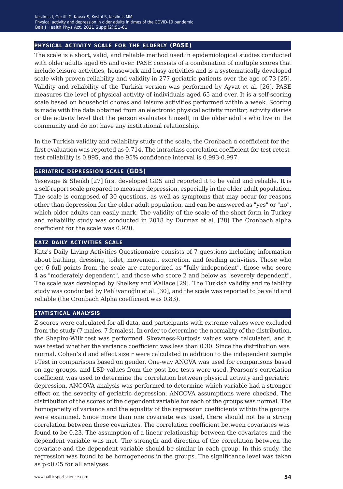#### **physical activity scale for the elderly (PASE)**

The scale is a short, valid, and reliable method used in epidemiological studies conducted with older adults aged 65 and over. PASE consists of a combination of multiple scores that include leisure activities, housework and busy activities and is a systematically developed scale with proven reliability and validity in 277 geriatric patients over the age of 73 [25]. Validity and reliability of the Turkish version was performed by Ayvat et al. [26]. PASE measures the level of physical activity of individuals aged 65 and over. It is a self-scoring scale based on household chores and leisure activities performed within a week. Scoring is made with the data obtained from an electronic physical activity monitor, activity diaries or the activity level that the person evaluates himself, in the older adults who live in the community and do not have any institutional relationship.

In the Turkish validity and reliability study of the scale, the Cronbach  $\alpha$  coefficient for the first evaluation was reported as 0.714. The intraclass correlation coefficient for test-retest test reliability is 0.995, and the 95% confidence interval is 0.993-0.997.

#### **geriatric depression scale (GDS)**

Yesevage & Sheikh [27] first developed GDS and reported it to be valid and reliable. It is a self-report scale prepared to measure depression, especially in the older adult population. The scale is composed of 30 questions, as well as symptoms that may occur for reasons other than depression for the older adult population, and can be answered as "yes" or "no", which older adults can easily mark. The validity of the scale of the short form in Turkey and reliability study was conducted in 2018 by Durmaz et al. [28] The Cronbach alpha coefficient for the scale was 0.920.

#### **katz daily activities scale**

Katz's Daily Living Activities Questionnaire consists of 7 questions including information about bathing, dressing, toilet, movement, excretion, and feeding activities. Those who get 6 full points from the scale are categorized as "fully independent", those who score 4 as "moderately dependent", and those who score 2 and below as "severely dependent". The scale was developed by Shelkey and Wallace [29]. The Turkish validity and reliability study was conducted by Pehlivanoğlu et al. [30], and the scale was reported to be valid and reliable (the Cronbach Alpha coefficient was 0.83).

#### **statistical analysis**

Z-scores were calculated for all data, and participants with extreme values were excluded from the study (7 males, 7 females). In order to determine the normality of the distribution, the Shapiro-Wilk test was performed, Skewness-Kurtosis values were calculated, and it was tested whether the variance coefficient was less than 0.30. Since the distribution was normal, Cohen's d and effect size r were calculated in addition to the independent sample t-Test in comparisons based on gender. One-way ANOVA was used for comparisons based on age groups, and LSD values from the post-hoc tests were used. Pearson's correlation coefficient was used to determine the correlation between physical activity and geriatric depression. ANCOVA analysis was performed to determine which variable had a stronger effect on the severity of geriatric depression. ANCOVA assumptions were checked. The distribution of the scores of the dependent variable for each of the groups was normal. The homogeneity of variance and the equality of the regression coefficients within the groups were examined. Since more than one covariate was used, there should not be a strong correlation between these covariates. The correlation coefficient between covariates was found to be 0.23. The assumption of a linear relationship between the covariates and the dependent variable was met. The strength and direction of the correlation between the covariate and the dependent variable should be similar in each group. In this study, the regression was found to be homogeneous in the groups. The significance level was taken as p<0.05 for all analyses.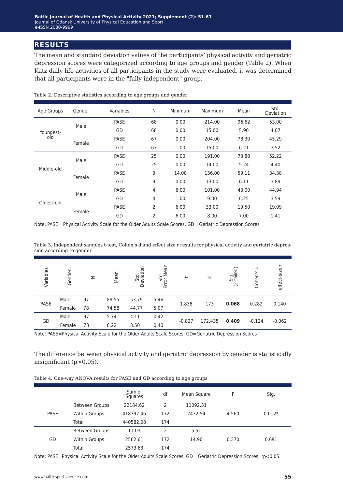## **results**

The mean and standard deviation values of the participants' physical activity and geriatric depression scores were categorized according to age groups and gender (Table 2). When Katz daily life activities of all participants in the study were evaluated, it was determined that all participants were in the "fully independent" group.

| Age Groups | Gender | Variables   | N              | Minimum | Maximum | Mean  | Std.<br>Deviation |
|------------|--------|-------------|----------------|---------|---------|-------|-------------------|
|            | Male   | <b>PASE</b> | 68             | 0.00    | 214.00  | 96.62 | 53.00             |
| Youngest-  |        | GD          | 68             | 0.00    | 15.00   | 5.90  | 4.07              |
| old        | Female | PASE        | 67             | 0.00    | 204.00  | 78.30 | 45.29             |
|            |        | GD          | 67             | 1.00    | 15.00   | 6.21  | 3.52              |
|            | Male   | <b>PASE</b> | 25             | 0.00    | 191.00  | 73.88 | 52.22             |
| Middle-old |        | GD          | 25             | 0.00    | 14.00   | 5.24  | 4.40              |
|            | Female | <b>PASE</b> | 9              | 14.00   | 136.00  | 59.11 | 34.38             |
|            |        | GD          | 9              | 0.00    | 13.00   | 6.11  | 3.89              |
|            | Male   | <b>PASE</b> | $\overline{4}$ | 6.00    | 101.00  | 43.00 | 44.94             |
| Oldest-old |        | GD          | $\overline{4}$ | 1.00    | 9.00    | 6.25  | 3.59              |
|            |        | PASE        | $\overline{2}$ | 6.00    | 33.00   | 19.50 | 19.09             |
|            | Female | GD          | $\overline{2}$ | 6.00    | 8.00    | 7.00  | 1.41              |

Table 2. Descriptive statistics according to age groups and gender

Note. PASE= Physical Activity Scale for the Older Adults Scale Scores, GD= Geriatric Depression Scores

Table 3. Independent samples t-test, Cohen's d and effect size r results for physical activity and geriatric depression according to gender

| Variables | Gender | $\mathbf{z}$ | Mean  | Std.<br>Deviation | Std.<br>or Mean<br>面 | $\overline{\phantom{m}}$ | ቴ       | Sig.<br>-tailed)<br>$\overline{C}$ | ᅙ<br>Cohen's | effect-size |
|-----------|--------|--------------|-------|-------------------|----------------------|--------------------------|---------|------------------------------------|--------------|-------------|
| PASE      | Male   | 97           | 88.55 | 53.79             | 5.46                 | 1.838                    | 173     | 0.068                              | 0.282        | 0.140       |
|           | Female | 78           | 74.58 | 44.77             | 5.07                 |                          |         |                                    |              |             |
| GD        | Male   | 97           | 5.74  | 4.11              | 0.42                 | $-0.827$                 | 172.435 |                                    | $-0.124$     | $-0.062$    |
|           | Female | 78           | 6.22  | 3.50              | 0.40                 |                          |         | 0.409                              |              |             |

Note: PASE=Physical Activity Scale for the Older Adults Scale Scores, GD=Geriatric Depression Scores

The difference between physical activity and geriatric depression by gender is statistically insignificant (p>0.05).

|  |  |  |  | Table 4. One-way ANOVA results for PASE and GD according to age groups |  |  |
|--|--|--|--|------------------------------------------------------------------------|--|--|
|  |  |  |  |                                                                        |  |  |

|             |                       | Sum of<br>Squares | df            | Mean Square | F     | Sig.     |
|-------------|-----------------------|-------------------|---------------|-------------|-------|----------|
|             | <b>Between Groups</b> | 22184.62          | $\mathcal{P}$ | 11092.31    |       |          |
| <b>PASE</b> | <b>Within Groups</b>  | 418397.46         | 172           | 2432.54     | 4.560 | $0.012*$ |
|             | Total                 | 440582.08         | 174           |             |       |          |
|             | <b>Between Groups</b> | 11.03             | 2             | 5.51        |       |          |
| GD          | <b>Within Groups</b>  | 2562.61           | 172           | 14.90       | 0.370 | 0.691    |
|             | Total                 | 2573.63           | 174           |             |       |          |

Note: PASE=Physical Activity Scale for the Older Adults Scale Scores, GD= Geriatric Depression Scores, \*p<0.05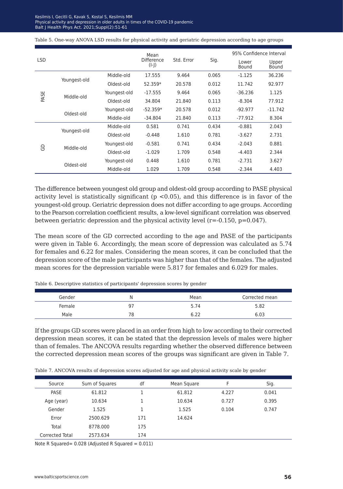| Table 5. One-way ANOVA LSD results for physical activity and geriatric depression according to age groups |  |  |  |  |  |  |
|-----------------------------------------------------------------------------------------------------------|--|--|--|--|--|--|
|-----------------------------------------------------------------------------------------------------------|--|--|--|--|--|--|

|            |              |              | Mean                  |            |       | 95% Confidence Interval |                |  |
|------------|--------------|--------------|-----------------------|------------|-------|-------------------------|----------------|--|
| <b>LSD</b> |              |              | Difference<br>$(I-J)$ | Std. Error | Sig.  | Lower<br>Bound          | Upper<br>Bound |  |
|            |              | Middle-old   | 17.555                | 9.464      | 0.065 | $-1.125$                | 36.236         |  |
|            | Youngest-old | Oldest-old   | 52.359*               | 20.578     | 0.012 | 11.742                  | 92.977         |  |
| PASE       | Middle-old   | Youngest-old | $-17.555$             | 9.464      | 0.065 | $-36.236$               | 1.125          |  |
|            |              | Oldest-old   | 34.804                | 21.840     | 0.113 | $-8.304$                | 77.912         |  |
|            | Oldest-old   | Youngest-old | $-52.359*$            | 20.578     | 0.012 | $-92.977$               | $-11.742$      |  |
|            |              | Middle-old   | $-34.804$             | 21.840     | 0.113 | $-77.912$               | 8.304          |  |
|            |              | Middle-old   | 0.581                 | 0.741      | 0.434 | $-0.881$                | 2.043          |  |
|            | Youngest-old | Oldest-old   | $-0.448$              | 1.610      | 0.781 | $-3.627$                | 2.731          |  |
|            | Middle-old   | Youngest-old | $-0.581$              | 0.741      | 0.434 | $-2.043$                | 0.881          |  |
| 8          |              | Oldest-old   | $-1.029$              | 1.709      | 0.548 | $-4.403$                | 2.344          |  |
|            |              | Youngest-old | 0.448                 | 1.610      | 0.781 | $-2.731$                | 3.627          |  |
|            | Oldest-old   | Middle-old   | 1.029                 | 1.709      | 0.548 | $-2.344$                | 4.403          |  |

The difference between youngest old group and oldest-old group according to PASE physical activity level is statistically significant ( $p < 0.05$ ), and this difference is in favor of the youngest-old group. Geriatric depression does not differ according to age groups. According to the Pearson correlation coefficient results, a low-level significant correlation was observed between geriatric depression and the physical activity level  $(r=-0.150, p=0.047)$ .

The mean score of the GD corrected according to the age and PASE of the participants were given in Table 6. Accordingly, the mean score of depression was calculated as 5.74 for females and 6.22 for males. Considering the mean scores, it can be concluded that the depression score of the male participants was higher than that of the females. The adjusted mean scores for the depression variable were 5.817 for females and 6.029 for males.

| Gender | N  | Mean | Corrected mean |
|--------|----|------|----------------|
| Female | 97 | 5.74 | 5.82           |
| Male   | 78 | ه م  | 6.03           |

Table 6. Descriptive statistics of participants' depression scores by gender

If the groups GD scores were placed in an order from high to low according to their corrected depression mean scores, it can be stated that the depression levels of males were higher than of females. The ANCOVA results regarding whether the observed difference between the corrected depression mean scores of the groups was significant are given in Table 7.

| Source          | Sum of Squares | df  | Mean Square | F     | Sig.  |
|-----------------|----------------|-----|-------------|-------|-------|
| PASE            | 61.812         |     | 61.812      | 4.227 | 0.041 |
| Age (year)      | 10.634         |     | 10.634      | 0.727 | 0.395 |
| Gender          | 1.525          |     | 1.525       | 0.104 | 0.747 |
| Error           | 2500.629       | 171 | 14.624      |       |       |
| Total           | 8778.000       | 175 |             |       |       |
| Corrected Total | 2573.634       | 174 |             |       |       |

Table 7. ANCOVA results of depression scores adjusted for age and physical activity scale by gender

Note R Squared=  $0.028$  (Adjusted R Squared =  $0.011$ )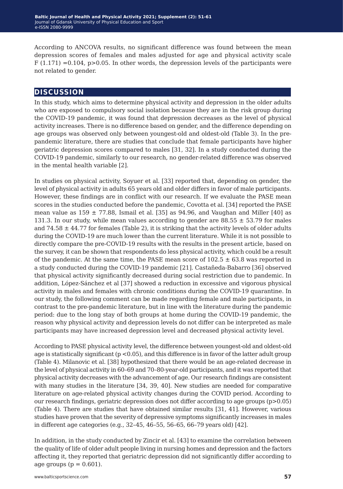According to ANCOVA results, no significant difference was found between the mean depression scores of females and males adjusted for age and physical activity scale  $F(1.171) = 0.104$ ,  $p > 0.05$ . In other words, the depression levels of the participants were not related to gender.

## **discussion**

In this study, which aims to determine physical activity and depression in the older adults who are exposed to compulsory social isolation because they are in the risk group during the COVID-19 pandemic, it was found that depression decreases as the level of physical activity increases. There is no difference based on gender, and the difference depending on age groups was observed only between youngest-old and oldest-old (Table 3). In the prepandemic literature, there are studies that conclude that female participants have higher geriatric depression scores compared to males [31, 32]. In a study conducted during the COVID-19 pandemic, similarly to our research, no gender-related difference was observed in the mental health variable [2].

In studies on physical activity, Soyuer et al. [33] reported that, depending on gender, the level of physical activity in adults 65 years old and older differs in favor of male participants. However, these findings are in conflict with our research. If we evaluate the PASE mean scores in the studies conducted before the pandemic, Covotta et al. [34] reported the PASE mean value as  $159 \pm 77.88$ , Ismail et al. [35] as 94.96, and Vaughan and Miller [40] as 131.3. In our study, while mean values according to gender are  $88.55 \pm 53.79$  for males and  $74.58 \pm 44.77$  for females (Table 2), it is striking that the activity levels of older adults during the COVID-19 are much lower than the current literature. While it is not possible to directly compare the pre-COVID-19 results with the results in the present article, based on the survey, it can be shown that respondents do less physical activity, which could be a result of the pandemic. At the same time, the PASE mean score of  $102.5 \pm 63.8$  was reported in a study conducted during the COVID-19 pandemic [21]. Castañeda-Babarro [36] observed that physical activity significantly decreased during social restriction due to pandemic. In addition, López-Sánchez et al [37] showed a reduction in excessive and vigorous physical activity in males and females with chronic conditions during the COVID-19 quarantine. In our study, the following comment can be made regarding female and male participants, in contrast to the pre-pandemic literature, but in line with the literature during the pandemic period: due to the long stay of both groups at home during the COVID-19 pandemic, the reason why physical activity and depression levels do not differ can be interpreted as male participants may have increased depression level and decreased physical activity level.

According to PASE physical activity level, the difference between youngest-old and oldest-old age is statistically significant ( $p < 0.05$ ), and this difference is in favor of the latter adult group (Table 4). Milanovic et al. [38] hypothesized that there would be an age-related decrease in the level of physical activity in 60–69 and 70–80-year-old participants, and it was reported that physical activity decreases with the advancement of age. Our research findings are consistent with many studies in the literature [34, 39, 40]. New studies are needed for comparative literature on age-related physical activity changes during the COVID period. According to our research findings, geriatric depression does not differ according to age groups  $(p>0.05)$ (Table 4). There are studies that have obtained similar results [31, 41]. However, various studies have proven that the severity of depressive symptoms significantly increases in males in different age categories (e.g., 32–45, 46–55, 56–65, 66–79 years old) [42].

In addition, in the study conducted by Zincir et al. [43] to examine the correlation between the quality of life of older adult people living in nursing homes and depression and the factors affecting it, they reported that geriatric depression did not significantly differ according to age groups ( $p = 0.601$ ).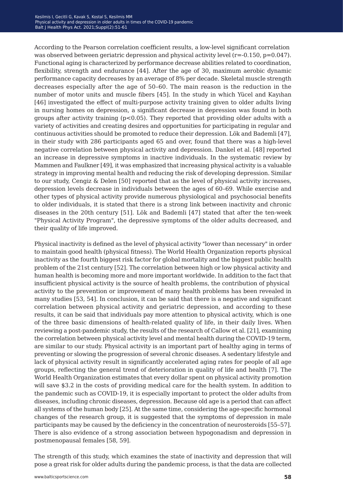According to the Pearson correlation coefficient results, a low-level significant correlation was observed between geriatric depression and physical activity level  $(r=0.150, p=0.047)$ . Functional aging is characterized by performance decrease abilities related to coordination, flexibility, strength and endurance [44]. After the age of 30, maximum aerobic dynamic performance capacity decreases by an average of 8% per decade. Skeletal muscle strength decreases especially after the age of 50–60. The main reason is the reduction in the number of motor units and muscle fibers [45]. In the study in which Yücel and Kayıhan [46] investigated the effect of multi-purpose activity training given to older adults living in nursing homes on depression, a significant decrease in depression was found in both groups after activity training  $(p<0.05)$ . They reported that providing older adults with a variety of activities and creating desires and opportunities for participating in regular and continuous activities should be promoted to reduce their depression. Lök and Bademli [47], in their study with 286 participants aged 65 and over, found that there was a high-level negative correlation between physical activity and depression. Dankel et al. [48] reported an increase in depressive symptoms in inactive individuals. In the systematic review by Mammen and Faulkner [49], it was emphasized that increasing physical activity is a valuable strategy in improving mental health and reducing the risk of developing depression. Similar to our study, Cengiz & Delen [50] reported that as the level of physical activity increases, depression levels decrease in individuals between the ages of 60–69. While exercise and other types of physical activity provide numerous physiological and psychosocial benefits to older individuals, it is stated that there is a strong link between inactivity and chronic diseases in the 20th century [51]. Lök and Bademli [47] stated that after the ten-week "Physical Activity Program", the depressive symptoms of the older adults decreased, and their quality of life improved.

Physical inactivity is defined as the level of physical activity "lower than necessary" in order to maintain good health (physical fitness). The World Health Organization reports physical inactivity as the fourth biggest risk factor for global mortality and the biggest public health problem of the 21st century [52]. The correlation between high or low physical activity and human health is becoming more and more important worldwide. In addition to the fact that insufficient physical activity is the source of health problems, the contribution of physical activity to the prevention or improvement of many health problems has been revealed in many studies [53, 54]. In conclusion, it can be said that there is a negative and significant correlation between physical activity and geriatric depression, and according to these results, it can be said that individuals pay more attention to physical activity, which is one of the three basic dimensions of health-related quality of life, in their daily lives. When reviewing a post-pandemic study, the results of the research of Callow et al. [21], examining the correlation between physical activity level and mental health during the COVID-19 term, are similar to our study. Physical activity is an important part of healthy aging in terms of preventing or slowing the progression of several chronic diseases. A sedentary lifestyle and lack of physical activity result in significantly accelerated aging rates for people of all age groups, reflecting the general trend of deterioration in quality of life and health [7]. The World Health Organization estimates that every dollar spent on physical activity promotion will save \$3.2 in the costs of providing medical care for the health system. In addition to the pandemic such as COVID-19, it is especially important to protect the older adults from diseases, including chronic diseases, depression. Because old age is a period that can affect all systems of the human body [25]. At the same time, considering the age-specific hormonal changes of the research group, it is suggested that the symptoms of depression in male participants may be caused by the deficiency in the concentration of neurosteroids [55–57]. There is also evidence of a strong association between hypogonadism and depression in postmenopausal females [58, 59].

The strength of this study, which examines the state of inactivity and depression that will pose a great risk for older adults during the pandemic process, is that the data are collected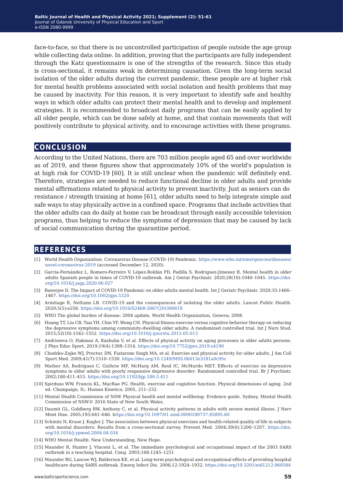face-to-face, so that there is no uncontrolled participation of people outside the age group while collecting data online. In addition, proving that the participants are fully independent through the Katz questionnaire is one of the strengths of the research. Since this study is cross-sectional, it remains weak in determining causation. Given the long-term social isolation of the older adults during the current pandemic, these people are at higher risk for mental health problems associated with social isolation and health problems that may be caused by inactivity. For this reason, it is very important to identify safe and healthy ways in which older adults can protect their mental health and to develop and implement strategies. It is recommended to broadcast daily programs that can be easily applied by all older people, which can be done safely at home, and that contain movements that will positively contribute to physical activity, and to encourage activities with these programs.

### **conclusion**

According to the United Nations, there are 703 million people aged 65 and over worldwide as of 2019, and these figures show that approximately 10% of the world's population is at high risk for COVID-19 [60]. It is still unclear when the pandemic will definitely end. Therefore, strategies are needed to reduce functional decline in older adults and provide mental affirmations related to physical activity to prevent inactivity. Just as seniors can do resistance / strength training at home [61], older adults need to help integrate simple and safe ways to stay physically active in a confined space. Programs that include activities that the older adults can do daily at home can be broadcast through easily accessible television programs, thus helping to reduce the symptoms of depression that may be caused by lack of social communication during the quarantine period.

### **references**

- [1] World Health Organization. Coronavirus Disease (COVID-19) Pandemic. [https://www.who.int/emergencies/diseases/](https://www.who.int/emergencies/diseases/novel-coronavirus-2019) [novel-coronavirus-2019](https://www.who.int/emergencies/diseases/novel-coronavirus-2019) (accessed December 12, 2020).
- [2] García-Fernández L, Romero-Ferreiro V, López-Roldán PD, Padilla S, Rodriguez-Jimenez R. Mental health in older adults Spanish people in times of COVID-19 outbreak. Am J Geriat Psychiatr. 2020;28(10):1040–1045. [https://doi.](https://doi.org/10.1016/j.jagp.2020.06.027) [org/10.1016/j.jagp.2020.06.027](https://doi.org/10.1016/j.jagp.2020.06.027)
- [3] Banerjee D. The Impact of COVID‐19 Pandemic on older adults mental health. Int J Geriatr Psychiatr. 2020;35:1466– 1467. <https://doi.org/10.1002/gps.5320>
- [4] Armitage R, Nellums LB. COVID-19 and the consequences of isolating the older adults. Lancet Public Health. 2020;5(5):e256. [https://doi.org/10.1016/S2468-2667\(20\)30061X](https://doi.org/10.1016/S2468-2667(20)30061X)
- [5] WHO The global burden of disease: 2004 update, World Health Organization, Geneva; 2008.
- [6] Huang TT, Liu CB, Tsai YH, Chin YF, Wong CH. Physical fitness exercise versus cognitive behavior therapy on reducing the depressive symptoms among community-dwelling older adults: A randomized controlled trial. Int J Nurs Stud. 2015;52(10):1542–1552. <https://doi.org/10.1016/j.ijnurstu.2015.05.013>
- [7] Andrieieva O, Hakman A, Kashuba V, et al. Effects of physical activity on aging processes in older adults persons. J Phys Educ Sport. 2019;19(4):1308–1314. [https://doi.org/10.7752/jpes.2019.s4190](https://doi.org/10.7752/jpes.2019.s4190 )
- [8] Chodzko-Zajko WJ, Proctor, DN, Fiatarone Singh MA, et al. Exercise and physical activity for older adults. J Am Coll Sport Med. 2009;41(7):1510–1530. <https://doi.org/10.1249/MSS.0b013e3181a0c95c>
- [9] Mather AS, Rodriguez C, Guthrie MF, McHarg AM, Reid IC, McMurdo MET. Effects of exercise on depressive symptoms in older adults with poorly responsive depressive disorder: Randomized controlled trial. Br J Psychiatr. 2002;180:411–415. <https://doi.org/10.1192/bjp.180.5.411>
- [10] Spirduso WW, Francis KL, MacRae PG. Health, exercise and cognitive function. Physical dimensions of aging. 2nd ed. Champaign, IL: Human Kinetics; 2005, 211–232.
- [11] Mental Health Commission of NSW Physical health and mental wellbeing: Evidence guide. Sydney, Mental Health Commission of NSW© 2016 State of New South Wales.
- [12] Daumit GL, Goldberg RW, Anthony C, et al. Physical activity patterns in adults with severe mental illness. J Nerv Ment Dise. 2005;193:641–646. h<ttps://doi.org/10.1097/01.nmd.0000180737.85895.60>
- [13] Schmitz N, Kruse J. Kugler J. The association between physical exercises and health-related quality of life in subjects with mental disorders: Results from a cross-sectional survey. Prevent Med. 2004;39(6):1200–1207. [https://doi.](https://doi.org/10.1016/j.ypmed.2004.04.034 ) [org/10.1016/j.ypmed.2004.04.034](https://doi.org/10.1016/j.ypmed.2004.04.034 )
- [14] WHO Mental Health: New Understanding, New Hope.
- [15] Maunder R, Hunter J, Vincent L, et al. The immediate psychological and occupational impact of the 2003 SARS outbreak in a teaching hospital. Cmaj. 2003;168:1245–1251
- [16] Maunder RG, Lancee WJ, Balderson KE, et al. Long-term psychological and occupational effects of providing hospital healthcare during SARS outbreak. Emerg Infect Dis. 2006;12:1924–1932. <https://doi.org/10.3201/eid1212.060584>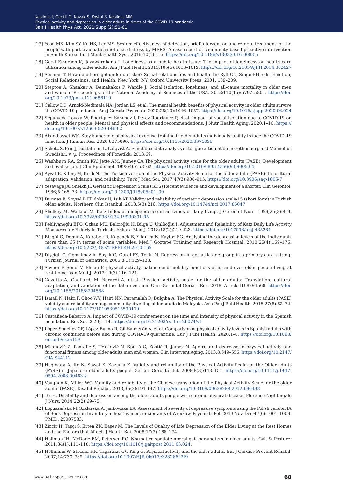- [17] Yoon MK, Kim SY, Ko HS, Lee MS. System effectiveness of detection, brief intervention and refer to treatment for the people with post-traumatic emotional distress by MERS: A case report of community-based proactive intervention in South Korea. Int J Ment Health Syst. 2016;10(1):1–5. <https://doi.org/10.1186/s13033-016-0083-5>
- [18] Gerst-Emerson K, Jayawardhana J. Loneliness as a public health issue: The impact of loneliness on health care utilization among older adults. Am J Publ Health. 2015;105(5):1013–1019.<https://doi.org/10.2105/AJPH.2014.302427>
- [19] Seeman T. How do others get under our skin? Social relationships and health. In: Ryff CD, Singe BH, eds. Emotion, Social Relationships, and Health. New York, NY: Oxford University Press; 2001, 189–209.
- [20] Steptoe A, Shankar A, Demakakos P, Wardle J. Social isolation, loneliness, and all-cause mortality in older men and women. Proceedings of the National Academy of Sciences of the USA. 2013;110(15):5797–5801. [https://doi.](https://doi.org/10.1073/pnas.1219686110) [org/10.1073/pnas.1219686110](https://doi.org/10.1073/pnas.1219686110)
- [21] Callow DD, Arnold-Nedimala NA, Jordan LS, et al. The mental health benefits of physical activity in older adults survive the COVID-19 pandemic. Am J Geriatr Psychiatr. 2020;28(10):1046–1057. <https://doi.org/10.1016/j.jagp.2020.06.024>
- [22] Sepulveda-Loyola W, Rodríguez-Sánchez I, Perez-Rodriguez P, et al. Impact of social isolation due to COVID-19 on health in older people: Mental and physical effects and recommendations. J Nutr Health Aging. 2020;1–10. [https://](https://doi.org/10.1007/s12603-020-1469-2) [doi.org/10.1007/s12603-020-1469-2](https://doi.org/10.1007/s12603-020-1469-2)
- [23] Abdelbasset WK. Stay home: role of physical exercise training in older adults ındividuals' ability to face the COVID-19 infection. J Immun Res. 2020;8375096. <https://doi.org/10.1155/2020/8375096>
- [24] Schötz S, Frid J, Gustafsson L, Löfqvist A. Functional data analysis of tongue articulation in Gothenburg and Malmöhus Swedish/i, y, u. Proceedings of Fonetikk, 2013;69.
- [25] Washburn RA, Smith KW, Jette AM, Janney CA The physical activity scale for the older adults (PASE): Development and evaluation. J Clin Epidemiol. 1993;46:153–62. [https://doi.org/10.1016/0895-4356\(93\)90053-4](https://doi.org/10.1016/0895-4356(93)90053-4)
- [26] Ayvat E, Kılınç M, Kırdı N. The Turkish version of the Physical Activity Scale for the older adults (PASE): Its cultural adaptation, validation, and reliability. Turk J Med Sci. 2017;47(3):908–915. <https://doi.org/10.3906/sag-1605-7>
- [27] Yesavage JA, Sheikh JI. Geriatric Depression Scale (GDS) Recent evidence and development of a shorter. Clin Gerontol. 1986;5:165–73. [https://doi.org/10.1300/J018v05n01\\_09](https://doi.org/10.1300/J018v05n01_09)
- [28] Durmaz B, Soysal P, Ellidokuz H, Isik AT. Validity and reliability of geriatric depression scale-15 (short form) in Turkish older adults. Northern Clin Istanbul. 2018;5(3):216. [https://doi.org/10.14744/nci.2017.85047]( https://doi.org/10.14744/nci.2017.85047)
- [29] Shelkey M, Wallace M. Katz Index of independence in activities of daily living. J Gerontol Nurs. 1999;25(3):8–9. <https://doi.org/10.3928/0098-9134-19990301-05>
- [30] Pehlivanoğlu EFÖ, Özkan MU, Balcıoğlu H, Bilge U, Ünlüoğlu İ. Adjustment and Reliability of Katz Daily Life Activity Measures for Elderly in Turkish. Ankara Med J. 2018;18(2):219-223. [https://doi.org/1017098/amj.435264](https://doi.org/1017098/amj.435264 )
- [31] Bingöl G, Demir A, Karabek R, Kepenek B, Yıldırım N, Kaytaz EG. Analysing the depression levels of the individuals more than 65 in terms of some variables. Med J Goztepe Training and Research Hospital. 2010;25(4):169–176. [https://doi.org/10.5222/J.GOZTEPETRH.2010.169](https://doi.org/10.5222/J.GOZTEPETRH.2010.169 )
- [32] Dişçigil G, Gemalmaz A, Başak O, Gürel FS, Tekin N. Depression in geriatric age group in a primary care setting. Turkish Journal of Geriatrics. 2005;8(3):129–133.
- [33] Soyuer F, Şenol V, Elmalı F. physical activity, balance and mobility functions of 65 and over older people living at rest home. Van Med J. 2012;19(3):116–121.
- [34] Covotta A, Gagliardi M, Berardi A, et al. Physical activity scale for the older adults: Translation, cultural adaptation, and validation of the Italian version. Curr Gerontol Geriatr Res. 2018; Article ID 8294568. [https://doi.](https://doi.org/10.1155/2018/8294568 ) [org/10.1155/2018/8294568](https://doi.org/10.1155/2018/8294568 )
- [35] Ismail N, Hairi F, Choo WY, Hairi NN, Peramalah D, Bulgiba A. The Physical Activity Scale for the older adults (PASE) validity and reliability among community-dwelling older adults in Malaysia. Asia Pac J Publ Health. 2015;27(8):62–72. <https://doi.org/10.1177/1010539515590179>
- [36] Castañeda-Babarro A. Impact of COVID-19 confinement on the time and intensity of physical activity in the Spanish population. Res Sq. 2020;1–14. <https://doi.org/10.21203/rs.3.rs-26074/v1>
- [37] López-Sánchez GF, López-Bueno R, Gil-Salmerón A, et al. Comparison of physical activity levels in Spanish adults with chronic conditions before and during COVID-19 quarantine. Eur J Publ Health. 2020;1–6. [https://doi.org/10.1093/](https://doi.org/10.1093/eurpub/ckaa159) [eurpub/ckaa159](https://doi.org/10.1093/eurpub/ckaa159)
- [38] Milanović Z, Pantelić S, Trajković N, Sporiš G, Kostić R, James N. Age-related decrease in physical activity and functional fitness among older adults men and women. Clin Intervent Aging. 2013;8:549–556. [https://doi.org/10.2147/](https://doi.org/10.2147/CIA.S44112) [CIA.S44112](https://doi.org/10.2147/CIA.S44112)
- [39] Hagiwara A, Ito N, Sawai K, Kazuma K. Validity and reliability of the Physical Activity Scale for the Older adults (PASE) in Japanese older adults people. Geriatr Gerontol Int. 2008;8(3):143–151. [https://doi.org/10.1111/j.1447-](https://doi.org/10.1111/j.1447-0594.2008.00463.x ) [0594.2008.00463.x](https://doi.org/10.1111/j.1447-0594.2008.00463.x )
- [40] Vaughan K, Miller WC. Validity and reliability of the Chinese translation of the Physical Activity Scale for the older adults (PASE). Disabil Rehabil. 2013;35(3):191-197. <https://doi.org/10.3109/09638288.2012.690498>
- [41] Tel H. Disability and depression among the older adults people with chronic physical disease. Florence Nightingale J Nurs. 2014;22(2):69–75.
- [42] Lopuszańska M, Szklarska A, Jankowska EA. Assessment of severity of depressive symptoms using the Polish version IA of Beck Depression Inventory in healthy men, inhabitants of Wrocław. Psychiatr Pol. 2013 Nov-Dec;47(6):1001–1009. PMID: 25007533.
- [43] Zincir H, Taşçı S, Erten ZK, Başer M. The Levels of Quality of Life Depression of the Elder Living at the Rest Homes and the Factors that Affect. J Health Sci. 2008;17(3):168–174.
- [44] Hollman JH, McDade EM, Petersen RC. Normative spatiotemporal gait parameters in older adults. Gait & Posture. 2011;34(1):111–118. [https://doi.org/10.1016/j.gaitpost.2011.03.024.](https://doi.org/10.1016/j.gaitpost.2011.03.024)
- [45] Hollmann W, Struder HK, Tagarakis CV, King G. Physical activity and the older adults. Eur J Cardiov Prevent Rehabil. 2007;14:730–739. <https://doi.org/10.1097/HJR.0b013e32828622f9>